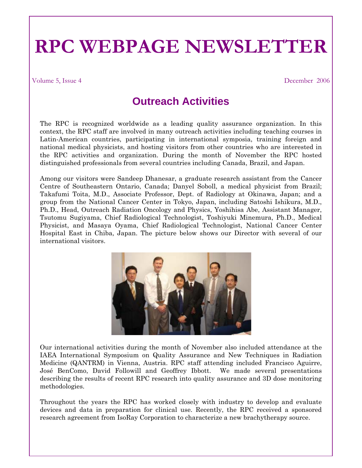## **RPC WEBPAGE NEWSLETTER**

Volume 5, Issue 4 December 2006

## **Outreach Activities**

The RPC is recognized worldwide as a leading quality assurance organization. In this context, the RPC staff are involved in many outreach activities including teaching courses in Latin-American countries, participating in international symposia, training foreign and national medical physicists, and hosting visitors from other countries who are interested in the RPC activities and organization. During the month of November the RPC hosted distinguished professionals from several countries including Canada, Brazil, and Japan.

Among our visitors were Sandeep Dhanesar, a graduate research assistant from the Cancer Centre of Southeastern Ontario, Canada; Danyel Soboll, a medical physicist from Brazil; Takafumi Toita, M.D., Associate Professor, Dept. of Radiology at Okinawa, Japan; and a group from the National Cancer Center in Tokyo, Japan, including Satoshi Ishikura, M.D., Ph.D., Head, Outreach Radiation Oncology and Physics, Yoshihisa Abe, Assistant Manager, Tsutomu Sugiyama, Chief Radiological Technologist, Toshiyuki Minemura, Ph.D., Medical Physicist, and Masaya Oyama, Chief Radiological Technologist, National Cancer Center Hospital East in Chiba, Japan. The picture below shows our Director with several of our international visitors.



Our international activities during the month of November also included attendance at the IAEA International Symposium on Quality Assurance and New Techniques in Radiation Medicine (QANTRM) in Vienna, Austria. RPC staff attending included Francisco Aguirre, José BenComo, David Followill and Geoffrey Ibbott. We made several presentations describing the results of recent RPC research into quality assurance and 3D dose monitoring methodologies.

Throughout the years the RPC has worked closely with industry to develop and evaluate devices and data in preparation for clinical use. Recently, the RPC received a sponsored research agreement from IsoRay Corporation to characterize a new brachytherapy source.